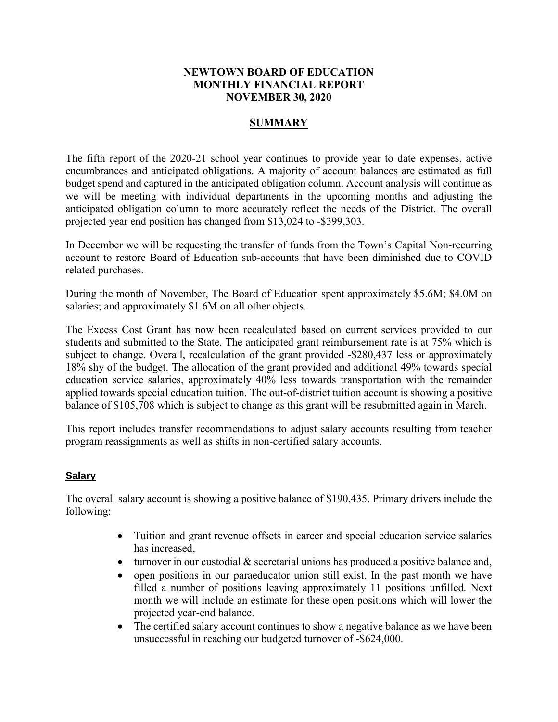#### **NEWTOWN BOARD OF EDUCATION MONTHLY FINANCIAL REPORT NOVEMBER 30, 2020**

#### **SUMMARY**

The fifth report of the 2020-21 school year continues to provide year to date expenses, active encumbrances and anticipated obligations. A majority of account balances are estimated as full budget spend and captured in the anticipated obligation column. Account analysis will continue as we will be meeting with individual departments in the upcoming months and adjusting the anticipated obligation column to more accurately reflect the needs of the District. The overall projected year end position has changed from \$13,024 to -\$399,303.

In December we will be requesting the transfer of funds from the Town's Capital Non-recurring account to restore Board of Education sub-accounts that have been diminished due to COVID related purchases.

During the month of November, The Board of Education spent approximately \$5.6M; \$4.0M on salaries; and approximately \$1.6M on all other objects.

The Excess Cost Grant has now been recalculated based on current services provided to our students and submitted to the State. The anticipated grant reimbursement rate is at 75% which is subject to change. Overall, recalculation of the grant provided -\$280,437 less or approximately 18% shy of the budget. The allocation of the grant provided and additional 49% towards special education service salaries, approximately 40% less towards transportation with the remainder applied towards special education tuition. The out-of-district tuition account is showing a positive balance of \$105,708 which is subject to change as this grant will be resubmitted again in March.

This report includes transfer recommendations to adjust salary accounts resulting from teacher program reassignments as well as shifts in non-certified salary accounts.

#### **Salary**

The overall salary account is showing a positive balance of \$190,435. Primary drivers include the following:

- Tuition and grant revenue offsets in career and special education service salaries has increased,
- $\bullet$  turnover in our custodial  $\&$  secretarial unions has produced a positive balance and,
- open positions in our paraeducator union still exist. In the past month we have filled a number of positions leaving approximately 11 positions unfilled. Next month we will include an estimate for these open positions which will lower the projected year-end balance.
- The certified salary account continues to show a negative balance as we have been unsuccessful in reaching our budgeted turnover of -\$624,000.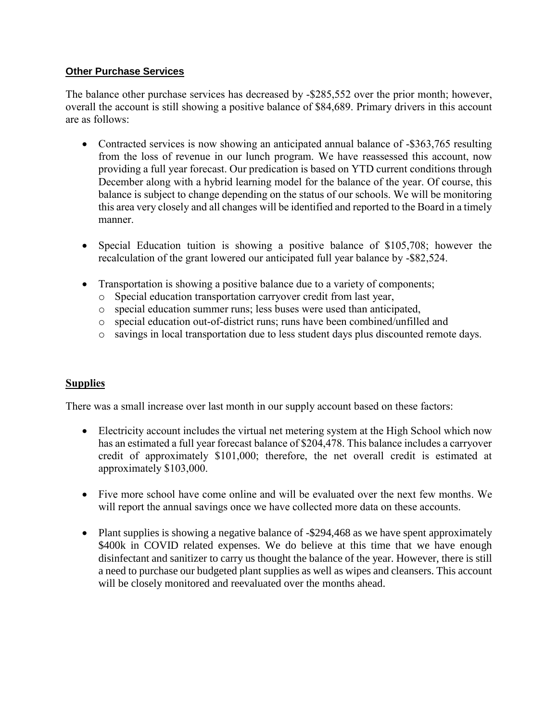### **Other Purchase Services**

The balance other purchase services has decreased by -\$285,552 over the prior month; however, overall the account is still showing a positive balance of \$84,689. Primary drivers in this account are as follows:

- Contracted services is now showing an anticipated annual balance of -\$363,765 resulting from the loss of revenue in our lunch program. We have reassessed this account, now providing a full year forecast. Our predication is based on YTD current conditions through December along with a hybrid learning model for the balance of the year. Of course, this balance is subject to change depending on the status of our schools. We will be monitoring this area very closely and all changes will be identified and reported to the Board in a timely manner.
- Special Education tuition is showing a positive balance of \$105,708; however the recalculation of the grant lowered our anticipated full year balance by -\$82,524.
- Transportation is showing a positive balance due to a variety of components;
	- o Special education transportation carryover credit from last year,
	- o special education summer runs; less buses were used than anticipated,
	- o special education out-of-district runs; runs have been combined/unfilled and
	- o savings in local transportation due to less student days plus discounted remote days.

# **Supplies**

There was a small increase over last month in our supply account based on these factors:

- Electricity account includes the virtual net metering system at the High School which now has an estimated a full year forecast balance of \$204,478. This balance includes a carryover credit of approximately \$101,000; therefore, the net overall credit is estimated at approximately \$103,000.
- Five more school have come online and will be evaluated over the next few months. We will report the annual savings once we have collected more data on these accounts.
- Plant supplies is showing a negative balance of -\$294,468 as we have spent approximately \$400k in COVID related expenses. We do believe at this time that we have enough disinfectant and sanitizer to carry us thought the balance of the year. However, there is still a need to purchase our budgeted plant supplies as well as wipes and cleansers. This account will be closely monitored and reevaluated over the months ahead.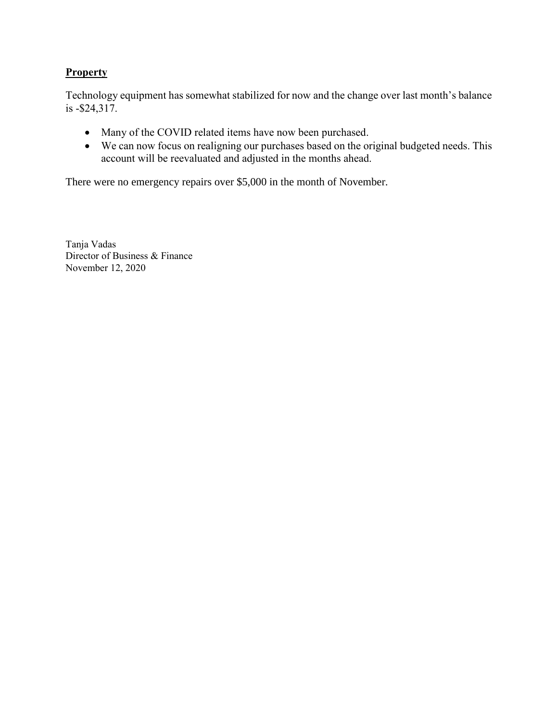## **Property**

Technology equipment has somewhat stabilized for now and the change over last month's balance is -\$24,317.

- Many of the COVID related items have now been purchased.
- We can now focus on realigning our purchases based on the original budgeted needs. This account will be reevaluated and adjusted in the months ahead.

There were no emergency repairs over \$5,000 in the month of November.

Tanja Vadas Director of Business & Finance November 12, 2020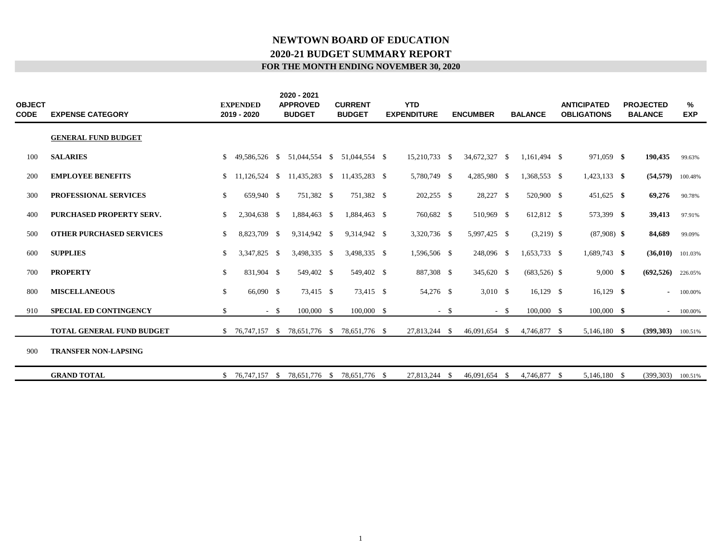#### **FOR THE MONTH ENDING NOVEMBER 30, 2020 2020-21 BUDGET SUMMARY REPORT NEWTOWN BOARD OF EDUCATION**

| <b>OBJECT</b><br>CODE | <b>EXPENSE CATEGORY</b>          |              | <b>EXPENDED</b><br>2019 - 2020 |       | 2020 - 2021<br><b>APPROVED</b><br><b>BUDGET</b> | <b>CURRENT</b><br><b>BUDGET</b> | <b>YTD</b><br><b>EXPENDITURE</b> |      | <b>ENCUMBER</b> |        | <b>BALANCE</b> | <b>ANTICIPATED</b><br><b>OBLIGATIONS</b> | <b>PROJECTED</b><br><b>BALANCE</b> | %<br><b>EXP</b> |
|-----------------------|----------------------------------|--------------|--------------------------------|-------|-------------------------------------------------|---------------------------------|----------------------------------|------|-----------------|--------|----------------|------------------------------------------|------------------------------------|-----------------|
|                       | <b>GENERAL FUND BUDGET</b>       |              |                                |       |                                                 |                                 |                                  |      |                 |        |                |                                          |                                    |                 |
| 100                   | <b>SALARIES</b>                  |              | 49.586.526 \$                  |       | 51,044,554 \$                                   | 51,044,554 \$                   | 15,210,733 \$                    |      | 34,672,327 \$   |        | 1,161,494 \$   | 971,059 \$                               | 190,435                            | 99.63%          |
| 200                   | <b>EMPLOYEE BENEFITS</b>         | S.           | 11,126,524 \$                  |       | 11,435,283 \$                                   | 11,435,283 \$                   | 5,780,749 \$                     |      | 4,285,980 \$    |        | 1,368,553 \$   | $1,423,133$ \$                           | $(54,579)$ 100.48%                 |                 |
| 300                   | PROFESSIONAL SERVICES            | \$           | 659,940 \$                     |       | 751,382 \$                                      | 751,382 \$                      | $202,255$ \$                     |      | 28,227 \$       |        | 520,900 \$     | 451,625 \$                               | 69,276                             | 90.78%          |
| 400                   | <b>PURCHASED PROPERTY SERV.</b>  | \$           | 2,304,638 \$                   |       | 1,884,463 \$                                    | 1,884,463 \$                    | 760,682 \$                       |      | 510,969 \$      |        | 612,812 \$     | 573,399 \$                               | 39,413                             | 97.91%          |
| 500                   | <b>OTHER PURCHASED SERVICES</b>  | \$           | 8,823,709 \$                   |       | 9,314,942 \$                                    | 9,314,942 \$                    | 3,320,736 \$                     |      | 5,997,425 \$    |        | $(3,219)$ \$   | $(87,908)$ \$                            | 84,689                             | 99.09%          |
| 600                   | <b>SUPPLIES</b>                  | \$           | 3,347,825 \$                   |       | 3,498,335 \$                                    | 3,498,335 \$                    | 1,596,506 \$                     |      | 248,096 \$      |        | 1,653,733 \$   | 1,689,743 \$                             | $(36,010)$ 101.03%                 |                 |
| 700                   | <b>PROPERTY</b>                  | $\mathbb{S}$ | 831,904 \$                     |       | 549,402 \$                                      | 549,402 \$                      | 887,308 \$                       |      | 345,620 \$      |        | $(683,526)$ \$ | $9,000$ \$                               | (692, 526)                         | 226.05%         |
| 800                   | <b>MISCELLANEOUS</b>             | \$           | 66,090 \$                      |       | 73,415 \$                                       | 73,415 \$                       | 54,276 \$                        |      | $3,010$ \$      |        | $16,129$ \$    | $16,129$ \$                              | $\blacksquare$                     | 100.00%         |
| 910                   | <b>SPECIAL ED CONTINGENCY</b>    | \$           |                                | $- S$ | 100,000 \$                                      | 100,000 \$                      |                                  | $-5$ |                 | $-$ \$ | 100,000 \$     | $100,000$ \$                             | $\sim$                             | 100.00%         |
|                       | <b>TOTAL GENERAL FUND BUDGET</b> |              | $$76,747,157$ \$               |       |                                                 | 78,651,776 \$ 78,651,776 \$     | 27,813,244 \$                    |      | 46,091,654 \$   |        | 4,746,877 \$   | 5,146,180 \$                             | (399,303)                          | 100.51%         |
| 900                   | <b>TRANSFER NON-LAPSING</b>      |              |                                |       |                                                 |                                 |                                  |      |                 |        |                |                                          |                                    |                 |
|                       | <b>GRAND TOTAL</b>               |              | $$76,747,157$ \;               |       | 78,651,776 \$                                   | 78,651,776 \$                   | 27,813,244 \$                    |      | 46,091,654 \$   |        | 4,746,877 \$   | 5,146,180 \$                             | (399, 303)                         | 100.51%         |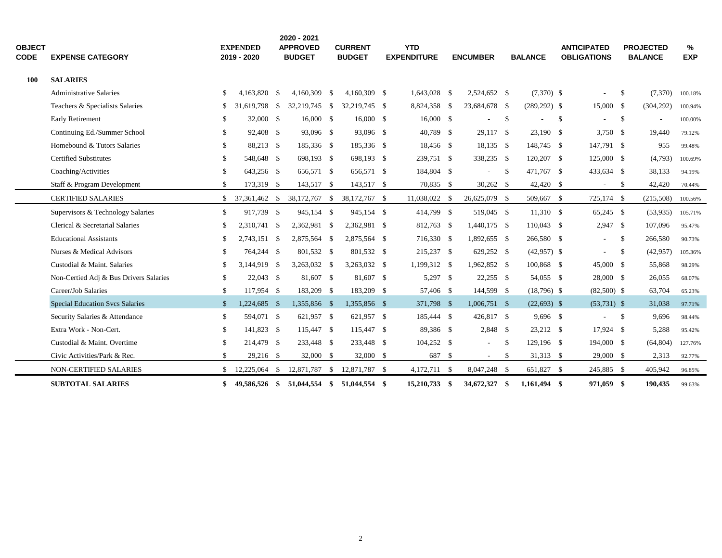| <b>OBJECT</b><br><b>CODE</b> | <b>EXPENSE CATEGORY</b>                |               | <b>EXPENDED</b><br>2019 - 2020 |      | 2020 - 2021<br><b>APPROVED</b><br><b>BUDGET</b> |      | <b>CURRENT</b><br><b>BUDGET</b> | <b>YTD</b><br><b>EXPENDITURE</b> |      | <b>ENCUMBER</b>          |      | <b>BALANCE</b>  | <b>ANTICIPATED</b><br><b>OBLIGATIONS</b> |               | <b>PROJECTED</b><br><b>BALANCE</b> | %<br><b>EXP</b> |
|------------------------------|----------------------------------------|---------------|--------------------------------|------|-------------------------------------------------|------|---------------------------------|----------------------------------|------|--------------------------|------|-----------------|------------------------------------------|---------------|------------------------------------|-----------------|
| <b>100</b>                   | <b>SALARIES</b>                        |               |                                |      |                                                 |      |                                 |                                  |      |                          |      |                 |                                          |               |                                    |                 |
|                              | <b>Administrative Salaries</b>         | \$            | 4,163,820 \$                   |      | $4,160,309$ \$                                  |      | 4,160,309 \$                    | 1,643,028 \$                     |      | 2,524,652 \$             |      | $(7,370)$ \$    |                                          | -S            | (7,370)                            | 100.18%         |
|                              | Teachers & Specialists Salaries        | S             | 31,619,798                     | \$   | 32,219,745 \$                                   |      | 32,219,745 \$                   | 8,824,358 \$                     |      | 23,684,678 \$            |      | $(289, 292)$ \$ | 15,000 \$                                |               | (304, 292)                         | 100.94%         |
|                              | <b>Early Retirement</b>                |               | 32,000 \$                      |      | 16,000 \$                                       |      | 16,000 \$                       | 16,000 \$                        |      |                          | \$   |                 | \$                                       | - \$          | $\blacksquare$                     | 100.00%         |
|                              | Continuing Ed./Summer School           | -S            | 92,408 \$                      |      | 93,096 \$                                       |      | 93,096 \$                       | 40,789 \$                        |      | 29,117 \$                |      | $23,190$ \$     | $3,750$ \$                               |               | 19,440                             | 79.12%          |
|                              | Homebound & Tutors Salaries            | -S            | 88,213 \$                      |      | 185,336 \$                                      |      | 185,336 \$                      | 18,456 \$                        |      | $18,135$ \$              |      | 148,745 \$      | 147,791 \$                               |               | 955                                | 99.48%          |
|                              | <b>Certified Substitutes</b>           | -S            | 548,648 \$                     |      | 698,193 \$                                      |      | 698,193 \$                      | 239,751 \$                       |      | 338,235 \$               |      | 120,207 \$      | 125,000 \$                               |               | (4,793)                            | 100.69%         |
|                              | Coaching/Activities                    | \$            | 643,256 \$                     |      | 656,571 \$                                      |      | 656,571 \$                      | 184,804 \$                       |      |                          | \$   | 471,767 \$      | 433,634 \$                               |               | 38,133                             | 94.19%          |
|                              | Staff & Program Development            | \$            | 173,319 \$                     |      | 143,517 \$                                      |      | 143,517 \$                      | 70,835 \$                        |      | $30,262$ \$              |      | 42,420 \$       | $\sim$                                   | $\mathcal{S}$ | 42,420                             | 70.44%          |
|                              | <b>CERTIFIED SALARIES</b>              | \$            | 37,361,462 \$                  |      | 38,172,767                                      | \$   | 38,172,767 \$                   | 11,038,022 \$                    |      | 26,625,079 \$            |      | 509,667 \$      | 725,174 \$                               |               | (215,508)                          | 100.56%         |
|                              | Supervisors & Technology Salaries      | \$            | 917,739 \$                     |      | 945,154 \$                                      |      | 945,154 \$                      | 414,799 \$                       |      | 519,045 \$               |      | $11,310$ \$     | $65,245$ \$                              |               | (53,935)                           | 105.71%         |
|                              | Clerical & Secretarial Salaries        | \$            | 2,310,741 \$                   |      | 2,362,981 \$                                    |      | 2,362,981 \$                    | 812,763 \$                       |      | 1,440,175 \$             |      | $110,043$ \$    | $2,947$ \$                               |               | 107,096                            | 95.47%          |
|                              | <b>Educational Assistants</b>          | -S            | 2,743,151 \$                   |      | 2,875,564 \$                                    |      | 2,875,564 \$                    | 716,330 \$                       |      | 1,892,655 \$             |      | 266,580 \$      |                                          | -\$           | 266,580                            | 90.73%          |
|                              | Nurses & Medical Advisors              | \$            | 764,244 \$                     |      | 801,532 \$                                      |      | 801,532 \$                      | 215,237 \$                       |      | 629,252 \$               |      | $(42,957)$ \$   |                                          | $\mathcal{S}$ | (42, 957)                          | 105.36%         |
|                              | Custodial & Maint. Salaries            | £.            | 3,144,919 \$                   |      | 3,263,032 \$                                    |      | 3,263,032 \$                    | 1,199,312 \$                     |      | 1,962,852 \$             |      | 100,868 \$      | 45,000 \$                                |               | 55,868                             | 98.29%          |
|                              | Non-Certied Adj & Bus Drivers Salaries | \$            | $22,043$ \$                    |      | 81,607 \$                                       |      | 81,607 \$                       | 5,297 \$                         |      | $22,255$ \$              |      | 54,055 \$       | 28,000 \$                                |               | 26,055                             | 68.07%          |
|                              | Career/Job Salaries                    | \$            | 117,954 \$                     |      | 183,209 \$                                      |      | 183,209 \$                      | 57,406 \$                        |      | 144,599 \$               |      | $(18,796)$ \$   | $(82,500)$ \$                            |               | 63,704                             | 65.23%          |
|                              | <b>Special Education Svcs Salaries</b> | $\mathcal{S}$ | 1,224,685 \$                   |      | 1,355,856 \$                                    |      | 1,355,856 \$                    | 371,798 \$                       |      | $1,006,751$ \$           |      | $(22,693)$ \$   | $(53,731)$ \$                            |               | 31,038                             | 97.71%          |
|                              | Security Salaries & Attendance         | \$            | 594,071 \$                     |      | 621,957 \$                                      |      | 621,957 \$                      | 185,444 \$                       |      | 426,817 \$               |      | $9,696$ \$      | $\sim$                                   | - \$          | 9,696                              | 98.44%          |
|                              | Extra Work - Non-Cert.                 | \$            | 141,823 \$                     |      | 115,447 \$                                      |      | 115,447 \$                      | 89,386 \$                        |      | $2,848$ \$               |      | 23,212 \$       | 17,924 \$                                |               | 5,288                              | 95.42%          |
|                              | Custodial & Maint. Overtime            | \$            | 214,479 \$                     |      | 233,448 \$                                      |      | 233,448 \$                      | 104,252 \$                       |      | $\overline{\phantom{a}}$ | \$   | 129,196 \$      | 194,000 \$                               |               | (64, 804)                          | 127.76%         |
|                              | Civic Activities/Park & Rec.           | \$            | 29,216 \$                      |      | 32,000 \$                                       |      | 32,000 \$                       | 687                              | \$   | $\sim$                   | \$   | 31,313 \$       | 29,000 \$                                |               | 2,313                              | 92.77%          |
|                              | NON-CERTIFIED SALARIES                 | \$            | 12,225,064                     | - \$ | 12,871,787                                      | - \$ | 12,871,787 \$                   | $4,172,711$ \$                   |      | 8,047,248 \$             |      | 651,827 \$      | 245,885 \$                               |               | 405,942                            | 96.85%          |
|                              | <b>SUBTOTAL SALARIES</b>               | SS.           | 49.586.526 \$                  |      | 51,044,554 \$                                   |      | 51,044,554 \$                   | 15,210,733                       | - \$ | 34,672,327               | - \$ | 1,161,494 \$    | 971,059 \$                               |               | 190.435                            | 99.63%          |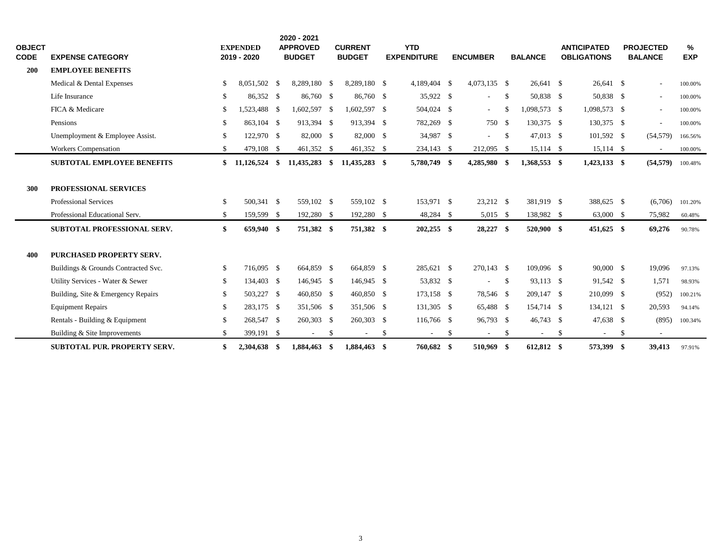| <b>OBJECT</b><br><b>CODE</b> | <b>EXPENSE CATEGORY</b>             |      | <b>EXPENDED</b><br>2019 - 2020 | 2020 - 2021<br><b>APPROVED</b><br><b>BUDGET</b> |      | <b>CURRENT</b><br><b>BUDGET</b> | <b>YTD</b><br><b>EXPENDITURE</b> | <b>ENCUMBER</b>          |      | <b>BALANCE</b> |    | <b>ANTICIPATED</b><br><b>OBLIGATIONS</b> | <b>PROJECTED</b><br><b>BALANCE</b> | ℅<br><b>EXP</b> |
|------------------------------|-------------------------------------|------|--------------------------------|-------------------------------------------------|------|---------------------------------|----------------------------------|--------------------------|------|----------------|----|------------------------------------------|------------------------------------|-----------------|
| 200                          | <b>EMPLOYEE BENEFITS</b>            |      |                                |                                                 |      |                                 |                                  |                          |      |                |    |                                          |                                    |                 |
|                              | Medical & Dental Expenses           | S    | 8.051.502 \$                   | 8,289,180 \$                                    |      | 8.289.180 \$                    | 4,189,404 \$                     | 4,073,135 \$             |      | 26.641 \$      |    | 26.641 \$                                | $\sim$                             | 100.00%         |
|                              | Life Insurance                      | \$   | 86,352 \$                      | 86,760 \$                                       |      | 86,760 \$                       | 35,922 \$                        | $\overline{\phantom{a}}$ | \$   | 50,838 \$      |    | 50,838 \$                                | $\sim$                             | 100.00%         |
|                              | FICA & Medicare                     | S.   | 1,523,488 \$                   | 1,602,597 \$                                    |      | 1,602,597 \$                    | 504,024 \$                       | $\overline{\phantom{a}}$ | -S   | 1,098,573 \$   |    | 1,098,573 \$                             | $\blacksquare$                     | 100.00%         |
|                              | Pensions                            | \$.  | 863.104 \$                     | 913,394 \$                                      |      | 913,394 \$                      | 782,269 \$                       | 750 \$                   |      | 130,375 \$     |    | 130,375 \$                               | $\overline{\phantom{a}}$           | 100.00%         |
|                              | Unemployment & Employee Assist.     | \$.  | 122,970 \$                     | 82,000 \$                                       |      | 82,000 \$                       | 34,987 \$                        | ٠                        | - \$ | 47,013 \$      |    | 101,592 \$                               | (54, 579)                          | 166.56%         |
|                              | <b>Workers Compensation</b>         | \$   | 479,108 \$                     | 461,352 \$                                      |      | 461,352 \$                      | 234,143 \$                       | 212,095 \$               |      | $15,114$ \$    |    | $15,114$ \$                              | $\sim$                             | 100.00%         |
|                              | <b>SUBTOTAL EMPLOYEE BENEFITS</b>   | \$   | $11,126,524$ \$                | 11,435,283                                      | \$   | 11,435,283 \$                   | 5,780,749 \$                     | 4,285,980 \$             |      | 1,368,553 \$   |    | $1,423,133$ \$                           | (54, 579)                          | 100.48%         |
| 300                          | PROFESSIONAL SERVICES               |      |                                |                                                 |      |                                 |                                  |                          |      |                |    |                                          |                                    |                 |
|                              | Professional Services               | \$   | 500,341 \$                     | 559,102 \$                                      |      | 559,102 \$                      | 153,971 \$                       | 23,212 \$                |      | 381,919 \$     |    | 388,625 \$                               | (6,706)                            | 101.20%         |
|                              | Professional Educational Serv.      | \$   | 159,599 \$                     | 192,280 \$                                      |      | 192,280 \$                      | 48,284 \$                        | 5,015 \$                 |      | 138,982 \$     |    | 63,000 \$                                | 75,982                             | 60.48%          |
|                              | <b>SUBTOTAL PROFESSIONAL SERV.</b>  | \$   | 659,940 \$                     | 751,382 \$                                      |      | 751,382 \$                      | $202,255$ \$                     | 28,227 \$                |      | 520,900 \$     |    | 451,625 \$                               | 69,276                             | 90.78%          |
| 400                          | PURCHASED PROPERTY SERV.            |      |                                |                                                 |      |                                 |                                  |                          |      |                |    |                                          |                                    |                 |
|                              | Buildings & Grounds Contracted Svc. | \$   | 716,095 \$                     | 664,859 \$                                      |      | 664,859 \$                      | 285,621 \$                       | 270,143 \$               |      | 109,096 \$     |    | 90,000 \$                                | 19,096                             | 97.13%          |
|                              | Utility Services - Water & Sewer    | \$   | 134,403 \$                     | 146,945 \$                                      |      | 146,945 \$                      | 53,832 \$                        | $\overline{\phantom{a}}$ | -\$  | 93,113 \$      |    | 91,542 \$                                | 1,571                              | 98.93%          |
|                              | Building, Site & Emergency Repairs  | -S   | 503,227 \$                     | 460,850 \$                                      |      | 460,850 \$                      | $173,158$ \$                     | 78,546 \$                |      | 209,147 \$     |    | 210,099 \$                               | (952)                              | 100.21%         |
|                              | <b>Equipment Repairs</b>            | \$   | 283,175 \$                     | 351,506 \$                                      |      | 351,506 \$                      | 131,305 \$                       | 65,488 \$                |      | 154,714 \$     |    | 134,121 \$                               | 20,593                             | 94.14%          |
|                              | Rentals - Building & Equipment      | - \$ | 268,547 \$                     | 260,303 \$                                      |      | 260,303 \$                      | 116,766 \$                       | 96,793 \$                |      | 46,743 \$      |    | 47,638 \$                                | (895)                              | 100.34%         |
|                              | Building & Site Improvements        | \$   | 399,191 \$                     | $\overline{\phantom{a}}$                        | \$   | $\overline{\phantom{a}}$        | \$<br>$\overline{\phantom{a}}$   | \$<br>$\sim$             | \$   | $\sim$         | -S | $\sim$                                   | \$<br>$\sim$                       |                 |
|                              | <b>SUBTOTAL PUR. PROPERTY SERV.</b> | \$   | 2,304,638 \$                   | 1,884,463                                       | - \$ | 1,884,463 \$                    | 760,682 \$                       | 510,969 \$               |      | 612,812 \$     |    | 573,399 \$                               | 39,413                             | 97.91%          |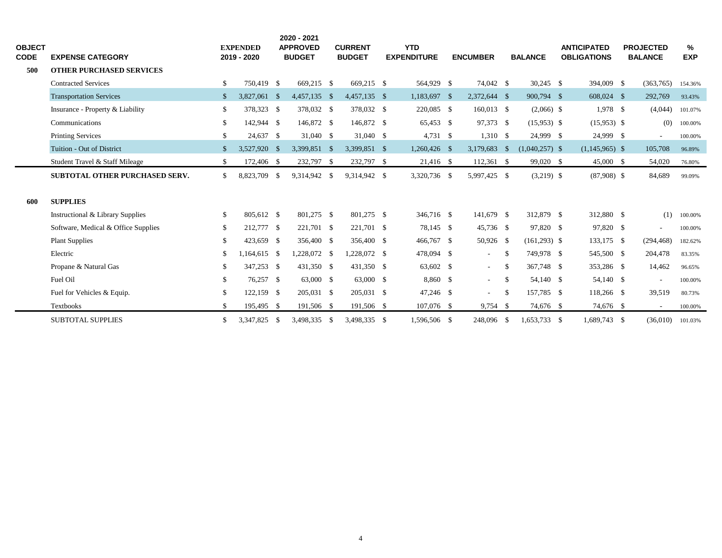| <b>OBJECT</b><br><b>CODE</b> | <b>EXPENSE CATEGORY</b>               |              | <b>EXPENDED</b><br>2019 - 2020 |  | 2020 - 2021<br><b>APPROVED</b><br><b>CURRENT</b><br><b>BUDGET</b><br><b>BUDGET</b> |  | <b>YTD</b><br><b>EXPENDITURE</b> | <b>ENCUMBER</b> |              | <b>BALANCE</b> | <b>ANTICIPATED</b><br><b>OBLIGATIONS</b> | <b>PROJECTED</b><br><b>BALANCE</b> | %<br><b>EXP</b>          |         |
|------------------------------|---------------------------------------|--------------|--------------------------------|--|------------------------------------------------------------------------------------|--|----------------------------------|-----------------|--------------|----------------|------------------------------------------|------------------------------------|--------------------------|---------|
| 500                          | <b>OTHER PURCHASED SERVICES</b>       |              |                                |  |                                                                                    |  |                                  |                 |              |                |                                          |                                    |                          |         |
|                              | <b>Contracted Services</b>            | \$           | 750.419 \$                     |  | 669,215 \$                                                                         |  | 669,215 \$                       | 564,929 \$      | 74,042 \$    |                | $30,245$ \$                              | 394,009 \$                         | (363,765)                | 154.36% |
|                              | <b>Transportation Services</b>        | $\mathbb{S}$ | 3,827,061 \$                   |  | 4,457,135 \$                                                                       |  | 4,457,135 \$                     | 1,183,697 \$    | 2,372,644 \$ |                | 900,794 \$                               | 608,024 \$                         | 292,769                  | 93.43%  |
|                              | Insurance - Property & Liability      | \$           | 378,323 \$                     |  | 378,032 \$                                                                         |  | 378,032 \$                       | 220,085 \$      | $160,013$ \$ |                | $(2,066)$ \$                             | 1,978 \$                           | (4,044)                  | 101.07% |
|                              | Communications                        | \$           | 142,944 \$                     |  | 146,872 \$                                                                         |  | 146,872 \$                       | 65,453 \$       | 97,373 \$    |                | $(15,953)$ \$                            | $(15,953)$ \$                      | (0)                      | 100.00% |
|                              | <b>Printing Services</b>              | \$           | 24,637 \$                      |  | 31,040 \$                                                                          |  | 31,040 \$                        | $4,731$ \$      | $1,310$ \$   |                | 24,999 \$                                | 24,999 \$                          | $\blacksquare$           | 100.00% |
|                              | Tuition - Out of District             | $\mathbf{s}$ | 3,527,920 \$                   |  | 3,399,851 \$                                                                       |  | 3,399,851 \$                     | $1,260,426$ \$  | 3,179,683 \$ |                | $(1,040,257)$ \$                         | $(1,145,965)$ \$                   | 105,708                  | 96.89%  |
|                              | Student Travel & Staff Mileage        | \$           | 172,406 \$                     |  | 232,797 \$                                                                         |  | 232,797 \$                       | 21,416 \$       | $112,361$ \$ |                | 99,020 \$                                | 45,000 \$                          | 54,020                   | 76.80%  |
|                              | <b>SUBTOTAL OTHER PURCHASED SERV.</b> | \$           | 8,823,709 \$                   |  | 9,314,942 \$                                                                       |  | 9,314,942 \$                     | 3,320,736 \$    | 5,997,425 \$ |                | $(3,219)$ \$                             | $(87,908)$ \$                      | 84,689                   | 99.09%  |
| 600                          | <b>SUPPLIES</b>                       |              |                                |  |                                                                                    |  |                                  |                 |              |                |                                          |                                    |                          |         |
|                              | Instructional & Library Supplies      | \$           | 805,612 \$                     |  | 801,275 \$                                                                         |  | 801,275 \$                       | 346,716 \$      | 141,679 \$   |                | 312,879 \$                               | 312,880 \$                         | (1)                      | 100.00% |
|                              | Software, Medical & Office Supplies   | S.           | 212,777 \$                     |  | 221,701 \$                                                                         |  | 221,701 \$                       | 78,145 \$       | 45,736 \$    |                | 97,820 \$                                | 97,820 \$                          | $\blacksquare$           | 100.00% |
|                              | <b>Plant Supplies</b>                 | \$           | 423,659 \$                     |  | 356,400 \$                                                                         |  | 356,400 \$                       | 466,767 \$      | 50,926 \$    |                | $(161,293)$ \$                           | 133,175 \$                         | (294, 468)               | 182.62% |
|                              | Electric                              | S.           | $1,164,615$ \$                 |  | 1,228,072 \$                                                                       |  | 1,228,072 \$                     | 478,094 \$      | $\sim$       | - \$           | 749,978 \$                               | 545,500 \$                         | 204,478                  | 83.35%  |
|                              | Propane & Natural Gas                 | \$           | 347,253 \$                     |  | 431,350 \$                                                                         |  | 431,350 \$                       | 63,602 \$       | $\sim$       | -S             | 367,748 \$                               | 353,286 \$                         | 14,462                   | 96.65%  |
|                              | Fuel Oil                              | \$           | 76,257 \$                      |  | 63,000 \$                                                                          |  | 63,000 \$                        | 8,860 \$        | $\sim$       | -S             | 54,140 \$                                | 54,140 \$                          | $\overline{\phantom{a}}$ | 100.00% |
|                              | Fuel for Vehicles & Equip.            | \$           | 122,159 \$                     |  | 205,031 \$                                                                         |  | 205,031 \$                       | 47,246 \$       | $\sim$       | \$             | 157,785 \$                               | 118,266 \$                         | 39,519                   | 80.73%  |
|                              | <b>Textbooks</b>                      | \$           | 195,495 \$                     |  | 191,506 \$                                                                         |  | 191,506 \$                       | 107,076 \$      | 9,754 \$     |                | 74,676 \$                                | 74,676 \$                          | $\sim$                   | 100.00% |
|                              | <b>SUBTOTAL SUPPLIES</b>              | \$           | 3,347,825 \$                   |  | 3,498,335 \$                                                                       |  | 3,498,335 \$                     | 1,596,506 \$    | 248,096 \$   |                | 1,653,733 \$                             | 1,689,743 \$                       | (36,010)                 | 101.03% |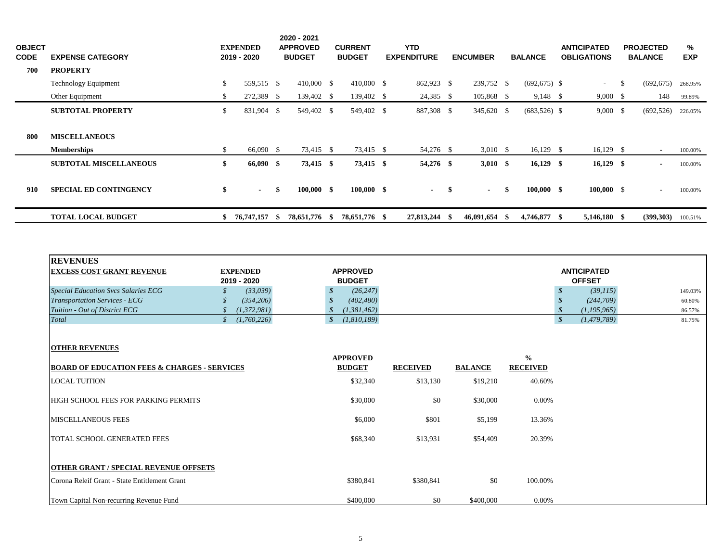| <b>OBJECT</b><br><b>CODE</b><br>700 | <b>EXPENSE CATEGORY</b><br><b>PROPERTY</b> |    | <b>EXPENDED</b><br>2019 - 2020 |      | 2020 - 2021<br><b>APPROVED</b><br><b>BUDGET</b> | <b>CURRENT</b><br><b>BUDGET</b> | <b>YTD</b><br><b>EXPENDITURE</b> |      | <b>ENCUMBER</b>     |    | <b>BALANCE</b>  | <b>ANTICIPATED</b><br><b>OBLIGATIONS</b> | <b>PROJECTED</b><br><b>BALANCE</b> | %<br><b>EXP</b> |
|-------------------------------------|--------------------------------------------|----|--------------------------------|------|-------------------------------------------------|---------------------------------|----------------------------------|------|---------------------|----|-----------------|------------------------------------------|------------------------------------|-----------------|
|                                     | Technology Equipment                       | \$ | 559,515 \$                     |      | 410,000 \$                                      | $410,000$ \$                    | 862,923 \$                       |      | 239,752 \$          |    | $(692, 675)$ \$ | $\sim$                                   | \$<br>(692, 675)                   | 268.95%         |
|                                     | Other Equipment                            | S. | 272,389 \$                     |      | 139,402 \$                                      | 139,402 \$                      | $24,385$ \$                      |      | 105,868 \$          |    | $9,148$ \$      | $9,000 \quad$ \$                         | 148                                | 99.89%          |
|                                     | <b>SUBTOTAL PROPERTY</b>                   | \$ | 831,904 \$                     |      | 549,402 \$                                      | 549,402 \$                      | 887,308 \$                       |      | 345,620 \$          |    | $(683,526)$ \$  | 9,000 S                                  | (692, 526)                         | 226.05%         |
| 800                                 | <b>MISCELLANEOUS</b><br><b>Memberships</b> | \$ | 66,090 \$                      |      | 73,415 \$                                       | 73,415 \$                       | 54,276 \$                        |      | 3,010 $\frac{1}{2}$ |    | $16,129$ \$     | $16,129$ \$                              | $\sim$                             | 100.00%         |
|                                     | <b>SUBTOTAL MISCELLANEOUS</b>              | \$ | 66,090 \$                      |      | $73,415$ \$                                     | 73,415 \$                       | 54,276 \$                        |      | $3,010$ \$          |    | $16,129$ \$     | $16,129$ \$                              | $\blacksquare$                     | 100.00%         |
| 910                                 | <b>SPECIAL ED CONTINGENCY</b>              | \$ | $\blacksquare$                 | \$   | $100,000$ \$                                    | $100,000$ \$                    | $\blacksquare$                   | -\$  | $\sim$              | \$ | $100,000$ \$    | $100,000 \quad$ \$                       | $\sim$                             | 100.00%         |
|                                     | <b>TOTAL LOCAL BUDGET</b>                  | \$ | 76,747,157                     | - SS | 78,651,776 \$                                   | 78,651,776 \$                   | 27,813,244                       | - 55 | 46,091,654          | -8 | 4,746,877 \$    | $5,146,180$ \$                           | (399,303)                          | 100.51%         |

| <b>REVENUES</b>                                         |                                |                   |                 |                |                 |                                             |         |
|---------------------------------------------------------|--------------------------------|-------------------|-----------------|----------------|-----------------|---------------------------------------------|---------|
| <b>EXCESS COST GRANT REVENUE</b>                        | <b>EXPENDED</b>                | <b>APPROVED</b>   |                 |                |                 | <b>ANTICIPATED</b>                          |         |
|                                                         | 2019 - 2020                    | <b>BUDGET</b>     |                 |                |                 | <b>OFFSET</b>                               |         |
| <b>Special Education Svcs Salaries ECG</b>              | (33,039)                       | (26, 247)<br>\$   |                 |                |                 | (39, 115)                                   | 149.03% |
| <b>Transportation Services - ECG</b>                    | (354, 206)                     | (402, 480)<br>S   |                 |                |                 | (244, 709)                                  | 60.80%  |
| Tuition - Out of District ECG                           | (1,372,981)                    | (1, 381, 462)     |                 |                |                 | (1, 195, 965)                               | 86.57%  |
| Total                                                   | (1,760,226)<br>$\mathcal{S}^-$ | (1,810,189)<br>\$ |                 |                |                 | $\boldsymbol{\mathcal{S}}$<br>(1, 479, 789) | 81.75%  |
|                                                         |                                |                   |                 |                |                 |                                             |         |
| <b>OTHER REVENUES</b>                                   |                                |                   |                 |                |                 |                                             |         |
|                                                         |                                | <b>APPROVED</b>   |                 |                | $\frac{0}{0}$   |                                             |         |
| <b>BOARD OF EDUCATION FEES &amp; CHARGES - SERVICES</b> |                                | <b>BUDGET</b>     | <b>RECEIVED</b> | <b>BALANCE</b> | <b>RECEIVED</b> |                                             |         |
| <b>LOCAL TUITION</b>                                    |                                | \$32,340          | \$13,130        | \$19,210       | 40.60%          |                                             |         |
|                                                         |                                |                   |                 |                |                 |                                             |         |
| <b>HIGH SCHOOL FEES FOR PARKING PERMITS</b>             |                                | \$30,000          | \$0             | \$30,000       | 0.00%           |                                             |         |
| <b>MISCELLANEOUS FEES</b>                               |                                | \$6,000           | \$801           | \$5,199        | 13.36%          |                                             |         |
|                                                         |                                |                   |                 |                |                 |                                             |         |
| <b>TOTAL SCHOOL GENERATED FEES</b>                      |                                | \$68,340          | \$13,931        | \$54,409       | 20.39%          |                                             |         |
|                                                         |                                |                   |                 |                |                 |                                             |         |
| <b>OTHER GRANT / SPECIAL REVENUE OFFSETS</b>            |                                |                   |                 |                |                 |                                             |         |
| Corona Releif Grant - State Entitlement Grant           |                                | \$380,841         | \$380,841       | \$0            | 100.00%         |                                             |         |
|                                                         |                                |                   |                 |                |                 |                                             |         |
| Town Capital Non-recurring Revenue Fund                 |                                | \$400,000         | \$0             | \$400,000      | 0.00%           |                                             |         |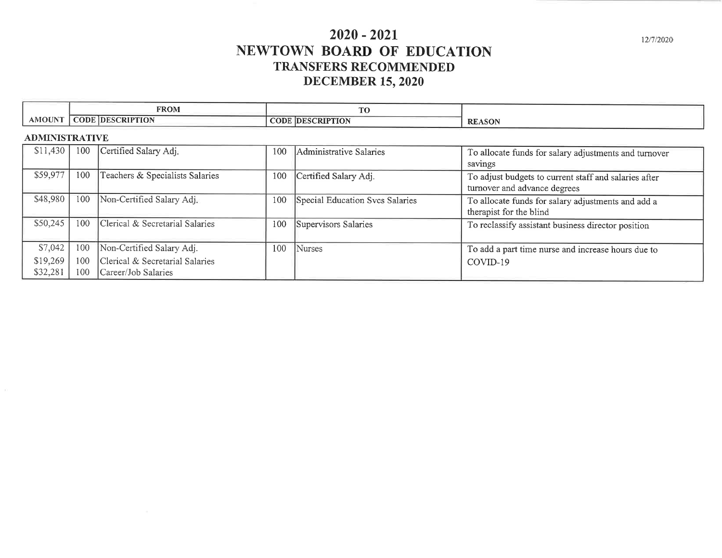# $2020 - 2021$ NEWTOWN BOARD OF EDUCATION **TRANSFERS RECOMMENDED DECEMBER 15, 2020**

|               | <b>FROM</b>                       | men an                                  |               |
|---------------|-----------------------------------|-----------------------------------------|---------------|
| <b>AMOUNT</b> | <b>IDESCRIPTION</b><br>$\cap$ ODE | CODE<br><b>TION</b><br><b>IDESCRIPT</b> | <b>REASON</b> |

#### **ADMINISTRATIVE**

| \$11,430 | 100 | Certified Salary Adj.           | 100 | Administrative Salaries         | To allocate funds for salary adjustments and turnover                                 |
|----------|-----|---------------------------------|-----|---------------------------------|---------------------------------------------------------------------------------------|
| \$59,977 | 100 | Teachers & Specialists Salaries |     |                                 | savings                                                                               |
|          |     |                                 | 100 | Certified Salary Adj.           | To adjust budgets to current staff and salaries after<br>turnover and advance degrees |
| \$48,980 | 100 | Non-Certified Salary Adj.       | 100 | Special Education Svcs Salaries | To allocate funds for salary adjustments and add a<br>therapist for the blind         |
| \$50,245 | 100 | Clerical & Secretarial Salaries | 100 | Supervisors Salaries            | To reclassify assistant business director position                                    |
| \$7,042  | 100 | Non-Certified Salary Adj.       | 100 | <b>Nurses</b>                   | To add a part time nurse and increase hours due to                                    |
| \$19,269 | 100 | Clerical & Secretarial Salaries |     |                                 | COVID-19                                                                              |
| \$32,281 | 100 | Career/Job Salaries             |     |                                 |                                                                                       |

12/7/2020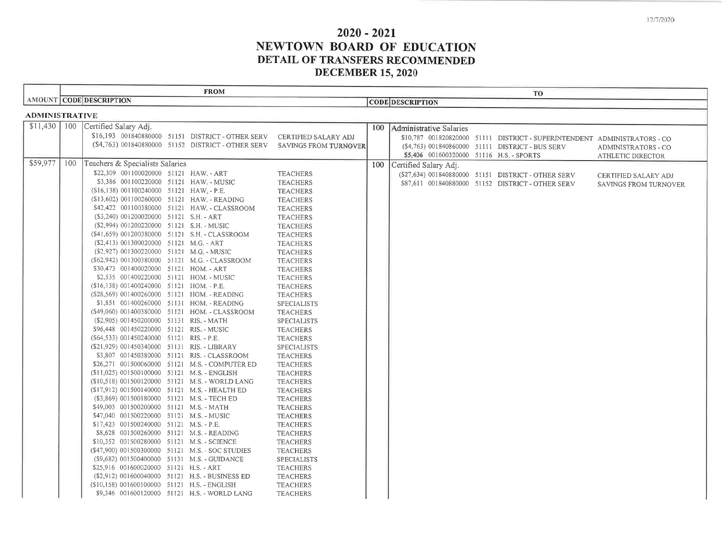12/7/2020

# $2020 - 2021$ NEWTOWN BOARD OF EDUCATION DETAIL OF TRANSFERS RECOMMENDED **DECEMBER 15, 2020**

|                       |     | <b>FROM</b>                                                                               |                                       |                                          | <b>TO</b>                                                                 |                            |
|-----------------------|-----|-------------------------------------------------------------------------------------------|---------------------------------------|------------------------------------------|---------------------------------------------------------------------------|----------------------------|
|                       |     | AMOUNT CODE DESCRIPTION                                                                   |                                       | <b>CODE DESCRIPTION</b>                  |                                                                           |                            |
| <b>ADMINISTRATIVE</b> |     |                                                                                           |                                       |                                          |                                                                           |                            |
|                       |     | \$11,430 100 Certified Salary Adj.                                                        |                                       | 100   Administrative Salaries            |                                                                           |                            |
|                       |     | \$16,193 001840880000 51151 DISTRICT - OTHER SERV                                         | CERTIFIED SALARY ADJ                  |                                          | \$10,787 001820820000 51111 DISTRICT - SUPERINTENDENT ADMINISTRATORS - CO |                            |
|                       |     | (\$4,763) 001840880000 51152 DISTRICT - OTHER SERV                                        | <b>SAVINGS FROM TURNOVER</b>          |                                          | (\$4,763) 001840860000 51111 DISTRICT - BUS SERV                          | <b>ADMINISTRATORS - CO</b> |
|                       |     |                                                                                           |                                       | \$5,406 001600320000 51116 H.S. - SPORTS |                                                                           | <b>ATHLETIC DIRECTOR</b>   |
| \$59,977              | 100 | Teachers & Specialists Salaries                                                           |                                       | 100 Certified Salary Adj.                |                                                                           |                            |
|                       |     | \$22,309 001100020000 51121 HAW. - ART                                                    | <b>TEACHERS</b>                       |                                          | (\$27,634) 001840880000 51151 DISTRICT - OTHER SERV                       | CERTIFIED SALARY ADJ       |
|                       |     | \$3,386 001100220000 51121 HAW. - MUSIC                                                   | <b>TEACHERS</b>                       |                                          | \$87,611 001840880000 51152 DISTRICT - OTHER SERV                         | SAVINGS FROM TURNOVER      |
|                       |     | (\$16,138) 001100240000 51121 HAW - P.E.                                                  | <b>TEACHERS</b>                       |                                          |                                                                           |                            |
|                       |     | (\$13,602) 001100260000 51121 HAW. - READING                                              | <b>TEACHERS</b>                       |                                          |                                                                           |                            |
|                       |     | \$42,422 001100380000 51121 HAW. - CLASSROOM                                              | TEACHERS                              |                                          |                                                                           |                            |
|                       |     | $(S3,240)$ 001200020000 51121 S.H. - ART                                                  | <b>TEACHERS</b>                       |                                          |                                                                           |                            |
|                       |     | (\$2,994) 001200220000 51121 S.H. - MUSIC                                                 | <b>TEACHERS</b>                       |                                          |                                                                           |                            |
|                       |     | (\$41,659) 001200380000 51121 S.H. - CLASSROOM                                            | <b>TEACHERS</b>                       |                                          |                                                                           |                            |
|                       |     | (\$2,413) 001300020000 51121 M.G. - ART                                                   | <b>TEACHERS</b>                       |                                          |                                                                           |                            |
|                       |     | (\$2,927) 001300220000 51121 M.G. - MUSIC                                                 | <b>TEACHERS</b>                       |                                          |                                                                           |                            |
|                       |     | (\$62,942) 001300380000 51121 M.G. - CLASSROOM                                            | <b>TEACHERS</b>                       |                                          |                                                                           |                            |
|                       |     | \$30,473 001400020000 51121 HOM. - ART                                                    | <b>TEACHERS</b>                       |                                          |                                                                           |                            |
|                       |     | \$2,535 001400220000 51121 HOM. - MUSIC                                                   | <b>TEACHERS</b>                       |                                          |                                                                           |                            |
|                       |     | (\$16,138) 001400240000 51121 HOM. - P.E.                                                 | <b>TEACHERS</b>                       |                                          |                                                                           |                            |
|                       |     | (\$28,569) 001400260000 51121 HOM. - READING<br>\$1,851 001400260000 51131 HOM. - READING | <b>TEACHERS</b>                       |                                          |                                                                           |                            |
|                       |     | (\$49,060) 001400380000 51121 HOM. - CLASSROOM                                            | <b>SPECIALISTS</b><br><b>TEACHERS</b> |                                          |                                                                           |                            |
|                       |     | (\$2,905) 001450200000 51131 RIS, - MATH                                                  | <b>SPECIALISTS</b>                    |                                          |                                                                           |                            |
|                       |     | \$96,448 001450220000 51121 RIS. - MUSIC                                                  | <b>TEACHERS</b>                       |                                          |                                                                           |                            |
|                       |     | (\$64,533) 001450240000 51121 RIS. - P.E.                                                 | <b>TEACHERS</b>                       |                                          |                                                                           |                            |
|                       |     | (\$21,929) 001450340000 51131 RIS. - LIBRARY                                              | <b>SPECIALISTS</b>                    |                                          |                                                                           |                            |
|                       |     | \$3,807 001450380000 51121 RIS. - CLASSROOM                                               | <b>TEACHERS</b>                       |                                          |                                                                           |                            |
|                       |     | \$26,271 001500060000 51121 M.S. - COMPUTER ED                                            | <b>TEACHERS</b>                       |                                          |                                                                           |                            |
|                       |     | (\$11,025) 001500100000 51121 M.S. - ENGLISH                                              | <b>TEACHERS</b>                       |                                          |                                                                           |                            |
|                       |     | (\$10,518) 001500120000 51121 M.S. - WORLD LANG                                           | <b>TEACHERS</b>                       |                                          |                                                                           |                            |
|                       |     | (\$17,912) 001500140000 51121 M.S. - HEALTH ED                                            | <b>TEACHERS</b>                       |                                          |                                                                           |                            |
|                       |     | (\$3,869) 001500180000 51121 M.S. - TECH ED                                               | <b>TEACHERS</b>                       |                                          |                                                                           |                            |
|                       |     | \$49,003 001500200000 51121 M.S. - MATH                                                   | <b>TEACHERS</b>                       |                                          |                                                                           |                            |
|                       |     | \$47,040 001500220000 51121 M.S. - MUSIC                                                  | <b>TEACHERS</b>                       |                                          |                                                                           |                            |
|                       |     | \$17,423 001500240000 51121 M.S. - P.E.                                                   | <b>TEACHERS</b>                       |                                          |                                                                           |                            |
|                       |     | \$8,628 001500260000 51121 M.S. - READING                                                 | <b>TEACHERS</b>                       |                                          |                                                                           |                            |
|                       |     | \$10,352 001500280000 51121 M.S. - SCIENCE                                                | <b>TEACHERS</b>                       |                                          |                                                                           |                            |
|                       |     | (\$47,900) 001500300000 51121 M.S. - SOC STUDIES                                          | <b>TEACHERS</b>                       |                                          |                                                                           |                            |
|                       |     | (\$9,682) 001500400000 51131 M.S. - GUIDANCE                                              | <b>SPECIALISTS</b>                    |                                          |                                                                           |                            |
|                       |     | \$25,916 001600020000 51121 H.S. - ART                                                    | <b>TEACHERS</b>                       |                                          |                                                                           |                            |
|                       |     | (\$2,912) 001600040000 51121 H.S. - BUSINESS ED                                           | <b>TEACHERS</b>                       |                                          |                                                                           |                            |
|                       |     | (\$10,158) 001600100000 51121 H.S. - ENGLISH                                              | <b>TEACHERS</b>                       |                                          |                                                                           |                            |
|                       |     | \$9,346 001600120000 51121 H.S. - WORLD LANG                                              | <b>TEACHERS</b>                       |                                          |                                                                           |                            |